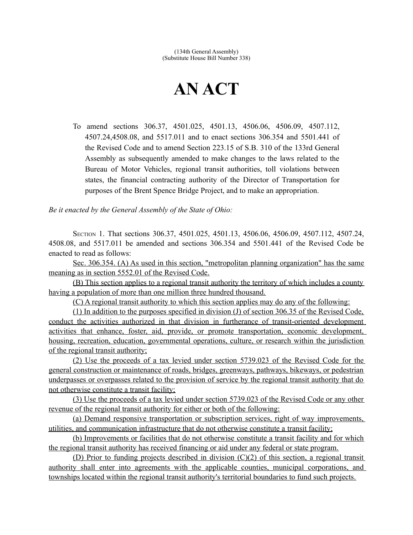## **AN ACT**

To amend sections 306.37, 4501.025, 4501.13, 4506.06, 4506.09, 4507.112, 4507.24,4508.08, and 5517.011 and to enact sections 306.354 and 5501.441 of the Revised Code and to amend Section 223.15 of S.B. 310 of the 133rd General Assembly as subsequently amended to make changes to the laws related to the Bureau of Motor Vehicles, regional transit authorities, toll violations between states, the financial contracting authority of the Director of Transportation for purposes of the Brent Spence Bridge Project, and to make an appropriation.

*Be it enacted by the General Assembly of the State of Ohio:*

SECTION 1. That sections 306.37, 4501.025, 4501.13, 4506.06, 4506.09, 4507.112, 4507.24, 4508.08, and 5517.011 be amended and sections 306.354 and 5501.441 of the Revised Code be enacted to read as follows:

 Sec. 306.354. (A) As used in this section, "metropolitan planning organization" has the same meaning as in section 5552.01 of the Revised Code.

(B) This section applies to a regional transit authority the territory of which includes a county having a population of more than one million three hundred thousand.

(C) A regional transit authority to which this section applies may do any of the following:

(1) In addition to the purposes specified in division (J) of section 306.35 of the Revised Code, conduct the activities authorized in that division in furtherance of transit-oriented development activities that enhance, foster, aid, provide, or promote transportation, economic development, housing, recreation, education, governmental operations, culture, or research within the jurisdiction of the regional transit authority;

(2) Use the proceeds of a tax levied under section 5739.023 of the Revised Code for the general construction or maintenance of roads, bridges, greenways, pathways, bikeways, or pedestrian underpasses or overpasses related to the provision of service by the regional transit authority that do not otherwise constitute a transit facility;

(3) Use the proceeds of a tax levied under section 5739.023 of the Revised Code or any other revenue of the regional transit authority for either or both of the following:

(a) Demand responsive transportation or subscription services, right of way improvements, utilities, and communication infrastructure that do not otherwise constitute a transit facility;

 (b) Improvements or facilities that do not otherwise constitute a transit facility and for which the regional transit authority has received financing or aid under any federal or state program.

(D) Prior to funding projects described in division (C)(2) of this section, a regional transit authority shall enter into agreements with the applicable counties, municipal corporations, and townships located within the regional transit authority's territorial boundaries to fund such projects.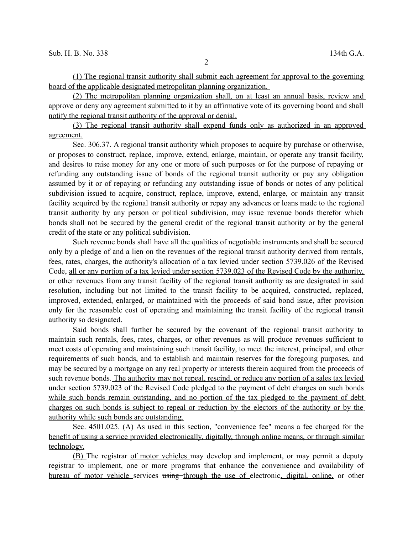(1) The regional transit authority shall submit each agreement for approval to the governing board of the applicable designated metropolitan planning organization.

(2) The metropolitan planning organization shall, on at least an annual basis, review and approve or deny any agreement submitted to it by an affirmative vote of its governing board and shall notify the regional transit authority of the approval or denial.

(3) The regional transit authority shall expend funds only as authorized in an approved agreement.

Sec. 306.37. A regional transit authority which proposes to acquire by purchase or otherwise, or proposes to construct, replace, improve, extend, enlarge, maintain, or operate any transit facility, and desires to raise money for any one or more of such purposes or for the purpose of repaying or refunding any outstanding issue of bonds of the regional transit authority or pay any obligation assumed by it or of repaying or refunding any outstanding issue of bonds or notes of any political subdivision issued to acquire, construct, replace, improve, extend, enlarge, or maintain any transit facility acquired by the regional transit authority or repay any advances or loans made to the regional transit authority by any person or political subdivision, may issue revenue bonds therefor which bonds shall not be secured by the general credit of the regional transit authority or by the general credit of the state or any political subdivision.

Such revenue bonds shall have all the qualities of negotiable instruments and shall be secured only by a pledge of and a lien on the revenues of the regional transit authority derived from rentals, fees, rates, charges, the authority's allocation of a tax levied under section 5739.026 of the Revised Code, all or any portion of a tax levied under section 5739.023 of the Revised Code by the authority, or other revenues from any transit facility of the regional transit authority as are designated in said resolution, including but not limited to the transit facility to be acquired, constructed, replaced, improved, extended, enlarged, or maintained with the proceeds of said bond issue, after provision only for the reasonable cost of operating and maintaining the transit facility of the regional transit authority so designated.

Said bonds shall further be secured by the covenant of the regional transit authority to maintain such rentals, fees, rates, charges, or other revenues as will produce revenues sufficient to meet costs of operating and maintaining such transit facility, to meet the interest, principal, and other requirements of such bonds, and to establish and maintain reserves for the foregoing purposes, and may be secured by a mortgage on any real property or interests therein acquired from the proceeds of such revenue bonds. The authority may not repeal, rescind, or reduce any portion of a sales tax levied under section 5739.023 of the Revised Code pledged to the payment of debt charges on such bonds while such bonds remain outstanding, and no portion of the tax pledged to the payment of debt charges on such bonds is subject to repeal or reduction by the electors of the authority or by the authority while such bonds are outstanding.

Sec. 4501.025. (A) As used in this section, "convenience fee" means a fee charged for the benefit of using a service provided electronically, digitally, through online means, or through similar technology.

(B) The registrar of motor vehicles may develop and implement, or may permit a deputy registrar to implement, one or more programs that enhance the convenience and availability of bureau of motor vehicle services using through the use of electronic, digital, online, or other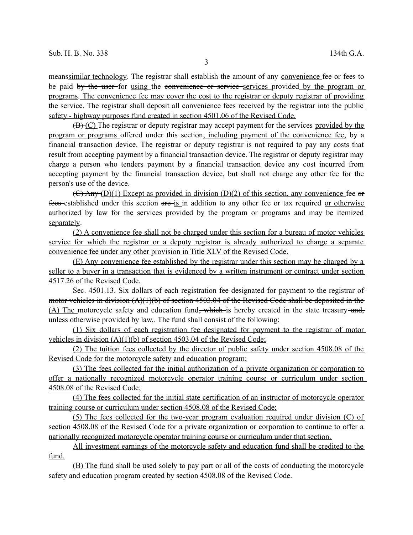meanssimilar technology. The registrar shall establish the amount of any convenience fee or fees to be paid by the user for using the convenience or service services provided by the program or programs. The convenience fee may cover the cost to the registrar or deputy registrar of providing the service. The registrar shall deposit all convenience fees received by the registrar into the public safety - highway purposes fund created in section 4501.06 of the Revised Code.

 $(B)(C)$  The registrar or deputy registrar may accept payment for the services provided by the program or programs offered under this section, including payment of the convenience fee, by a financial transaction device. The registrar or deputy registrar is not required to pay any costs that result from accepting payment by a financial transaction device. The registrar or deputy registrar may charge a person who tenders payment by a financial transaction device any cost incurred from accepting payment by the financial transaction device, but shall not charge any other fee for the person's use of the device.

 $(C)$  Any (D)(1) Except as provided in division (D)(2) of this section, any convenience fee or fees established under this section are is in addition to any other fee or tax required or otherwise authorized by law for the services provided by the program or programs and may be itemized separately.

(2) A convenience fee shall not be charged under this section for a bureau of motor vehicles service for which the registrar or a deputy registrar is already authorized to charge a separate convenience fee under any other provision in Title XLV of the Revised Code.

(E) Any convenience fee established by the registrar under this section may be charged by a seller to a buyer in a transaction that is evidenced by a written instrument or contract under section 4517.26 of the Revised Code.

Sec. 4501.13. Six dollars of each registration fee designated for payment to the registrar of motor vehicles in division (A)(1)(b) of section 4503.04 of the Revised Code shall be deposited in the (A) The motorcycle safety and education fund<del>, which i</del>s hereby created in the state treasury-and, unless otherwise provided by law. The fund shall consist of the following:

(1) Six dollars of each registration fee designated for payment to the registrar of motor vehicles in division (A)(1)(b) of section 4503.04 of the Revised Code;

(2) The tuition fees collected by the director of public safety under section 4508.08 of the Revised Code for the motorcycle safety and education program;

 (3) The fees collected for the initial authorization of a private organization or corporation to offer a nationally recognized motorcycle operator training course or curriculum under section 4508.08 of the Revised Code;

(4) The fees collected for the initial state certification of an instructor of motorcycle operator training course or curriculum under section 4508.08 of the Revised Code;

(5) The fees collected for the two-year program evaluation required under division (C) of section 4508.08 of the Revised Code for a private organization or corporation to continue to offer a nationally recognized motorcycle operator training course or curriculum under that section.

All investment earnings of the motorcycle safety and education fund shall be credited to the fund.

(B) The fund shall be used solely to pay part or all of the costs of conducting the motorcycle safety and education program created by section 4508.08 of the Revised Code.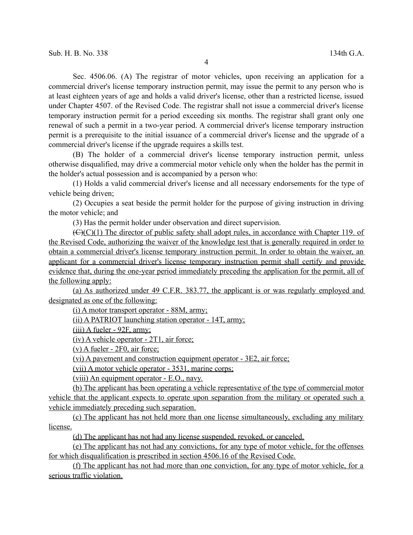Sec. 4506.06. (A) The registrar of motor vehicles, upon receiving an application for a commercial driver's license temporary instruction permit, may issue the permit to any person who is at least eighteen years of age and holds a valid driver's license, other than a restricted license, issued under Chapter 4507. of the Revised Code. The registrar shall not issue a commercial driver's license temporary instruction permit for a period exceeding six months. The registrar shall grant only one renewal of such a permit in a two-year period. A commercial driver's license temporary instruction permit is a prerequisite to the initial issuance of a commercial driver's license and the upgrade of a commercial driver's license if the upgrade requires a skills test.

(B) The holder of a commercial driver's license temporary instruction permit, unless otherwise disqualified, may drive a commercial motor vehicle only when the holder has the permit in the holder's actual possession and is accompanied by a person who:

(1) Holds a valid commercial driver's license and all necessary endorsements for the type of vehicle being driven;

(2) Occupies a seat beside the permit holder for the purpose of giving instruction in driving the motor vehicle; and

(3) Has the permit holder under observation and direct supervision.

 $(\bigoplus)(C)(1)$  The director of public safety shall adopt rules, in accordance with Chapter 119. of the Revised Code, authorizing the waiver of the knowledge test that is generally required in order to obtain a commercial driver's license temporary instruction permit. In order to obtain the waiver, an applicant for a commercial driver's license temporary instruction permit shall certify and provide evidence that, during the one-year period immediately preceding the application for the permit, all of the following apply:

(a) As authorized under 49 C.F.R. 383.77, the applicant is or was regularly employed and designated as one of the following:

(i) A motor transport operator - 88M, army;

(ii) A PATRIOT launching station operator - 14T, army;

(iii) A fueler - 92F, army;

(iv) A vehicle operator - 2T1, air force;

(v) A fueler - 2F0, air force;

(vi) A pavement and construction equipment operator - 3E2, air force;

(vii) A motor vehicle operator - 3531, marine corps;

(viii) An equipment operator - E.O., navy.

(b) The applicant has been operating a vehicle representative of the type of commercial motor vehicle that the applicant expects to operate upon separation from the military or operated such a vehicle immediately preceding such separation.

(c) The applicant has not held more than one license simultaneously, excluding any military license.

(d) The applicant has not had any license suspended, revoked, or canceled.

(e) The applicant has not had any convictions, for any type of motor vehicle, for the offenses for which disqualification is prescribed in section 4506.16 of the Revised Code.

(f) The applicant has not had more than one conviction, for any type of motor vehicle, for a serious traffic violation.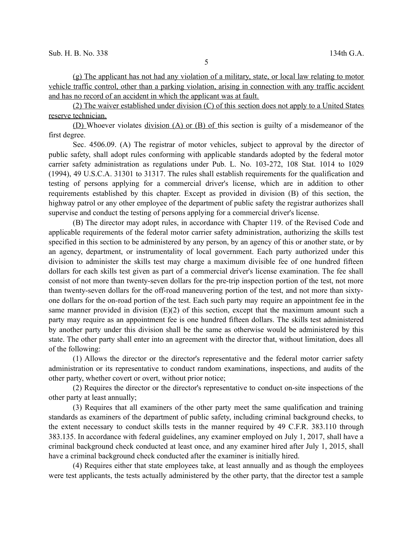(g) The applicant has not had any violation of a military, state, or local law relating to motor vehicle traffic control, other than a parking violation, arising in connection with any traffic accident and has no record of an accident in which the applicant was at fault.

 (2) The waiver established under division (C) of this section does not apply to a United States reserve technician.

(D) Whoever violates division (A) or (B) of this section is guilty of a misdemeanor of the first degree.

Sec. 4506.09. (A) The registrar of motor vehicles, subject to approval by the director of public safety, shall adopt rules conforming with applicable standards adopted by the federal motor carrier safety administration as regulations under Pub. L. No. 103-272, 108 Stat. 1014 to 1029 (1994), 49 U.S.C.A. 31301 to 31317. The rules shall establish requirements for the qualification and testing of persons applying for a commercial driver's license, which are in addition to other requirements established by this chapter. Except as provided in division (B) of this section, the highway patrol or any other employee of the department of public safety the registrar authorizes shall supervise and conduct the testing of persons applying for a commercial driver's license.

(B) The director may adopt rules, in accordance with Chapter 119. of the Revised Code and applicable requirements of the federal motor carrier safety administration, authorizing the skills test specified in this section to be administered by any person, by an agency of this or another state, or by an agency, department, or instrumentality of local government. Each party authorized under this division to administer the skills test may charge a maximum divisible fee of one hundred fifteen dollars for each skills test given as part of a commercial driver's license examination. The fee shall consist of not more than twenty-seven dollars for the pre-trip inspection portion of the test, not more than twenty-seven dollars for the off-road maneuvering portion of the test, and not more than sixtyone dollars for the on-road portion of the test. Each such party may require an appointment fee in the same manner provided in division (E)(2) of this section, except that the maximum amount such a party may require as an appointment fee is one hundred fifteen dollars. The skills test administered by another party under this division shall be the same as otherwise would be administered by this state. The other party shall enter into an agreement with the director that, without limitation, does all of the following:

(1) Allows the director or the director's representative and the federal motor carrier safety administration or its representative to conduct random examinations, inspections, and audits of the other party, whether covert or overt, without prior notice;

(2) Requires the director or the director's representative to conduct on-site inspections of the other party at least annually;

(3) Requires that all examiners of the other party meet the same qualification and training standards as examiners of the department of public safety, including criminal background checks, to the extent necessary to conduct skills tests in the manner required by 49 C.F.R. 383.110 through 383.135. In accordance with federal guidelines, any examiner employed on July 1, 2017, shall have a criminal background check conducted at least once, and any examiner hired after July 1, 2015, shall have a criminal background check conducted after the examiner is initially hired.

(4) Requires either that state employees take, at least annually and as though the employees were test applicants, the tests actually administered by the other party, that the director test a sample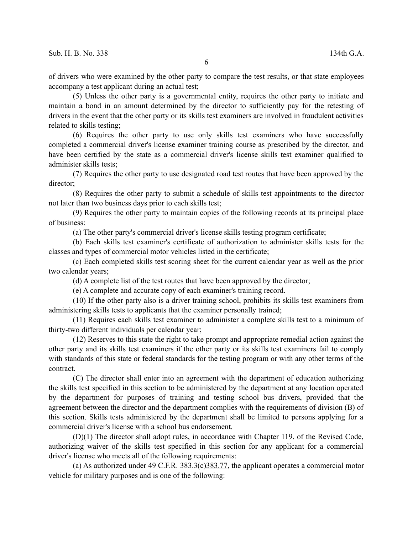of drivers who were examined by the other party to compare the test results, or that state employees accompany a test applicant during an actual test;

(5) Unless the other party is a governmental entity, requires the other party to initiate and maintain a bond in an amount determined by the director to sufficiently pay for the retesting of drivers in the event that the other party or its skills test examiners are involved in fraudulent activities related to skills testing;

(6) Requires the other party to use only skills test examiners who have successfully completed a commercial driver's license examiner training course as prescribed by the director, and have been certified by the state as a commercial driver's license skills test examiner qualified to administer skills tests;

(7) Requires the other party to use designated road test routes that have been approved by the director<sup>.</sup>

(8) Requires the other party to submit a schedule of skills test appointments to the director not later than two business days prior to each skills test;

(9) Requires the other party to maintain copies of the following records at its principal place of business:

(a) The other party's commercial driver's license skills testing program certificate;

(b) Each skills test examiner's certificate of authorization to administer skills tests for the classes and types of commercial motor vehicles listed in the certificate;

(c) Each completed skills test scoring sheet for the current calendar year as well as the prior two calendar years;

(d) A complete list of the test routes that have been approved by the director;

(e) A complete and accurate copy of each examiner's training record.

(10) If the other party also is a driver training school, prohibits its skills test examiners from administering skills tests to applicants that the examiner personally trained;

(11) Requires each skills test examiner to administer a complete skills test to a minimum of thirty-two different individuals per calendar year;

(12) Reserves to this state the right to take prompt and appropriate remedial action against the other party and its skills test examiners if the other party or its skills test examiners fail to comply with standards of this state or federal standards for the testing program or with any other terms of the contract.

(C) The director shall enter into an agreement with the department of education authorizing the skills test specified in this section to be administered by the department at any location operated by the department for purposes of training and testing school bus drivers, provided that the agreement between the director and the department complies with the requirements of division (B) of this section. Skills tests administered by the department shall be limited to persons applying for a commercial driver's license with a school bus endorsement.

(D)(1) The director shall adopt rules, in accordance with Chapter 119. of the Revised Code, authorizing waiver of the skills test specified in this section for any applicant for a commercial driver's license who meets all of the following requirements:

(a) As authorized under 49 C.F.R.  $383.3(e)383.77$ , the applicant operates a commercial motor vehicle for military purposes and is one of the following: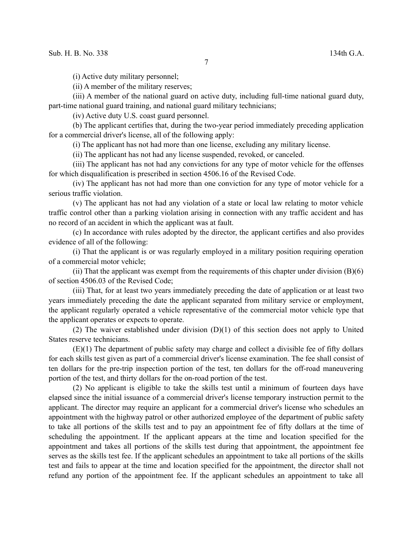(i) Active duty military personnel;

(ii) A member of the military reserves;

(iii) A member of the national guard on active duty, including full-time national guard duty, part-time national guard training, and national guard military technicians;

(iv) Active duty U.S. coast guard personnel.

(b) The applicant certifies that, during the two-year period immediately preceding application for a commercial driver's license, all of the following apply:

(i) The applicant has not had more than one license, excluding any military license.

(ii) The applicant has not had any license suspended, revoked, or canceled.

(iii) The applicant has not had any convictions for any type of motor vehicle for the offenses for which disqualification is prescribed in section 4506.16 of the Revised Code.

(iv) The applicant has not had more than one conviction for any type of motor vehicle for a serious traffic violation.

(v) The applicant has not had any violation of a state or local law relating to motor vehicle traffic control other than a parking violation arising in connection with any traffic accident and has no record of an accident in which the applicant was at fault.

(c) In accordance with rules adopted by the director, the applicant certifies and also provides evidence of all of the following:

(i) That the applicant is or was regularly employed in a military position requiring operation of a commercial motor vehicle;

(ii) That the applicant was exempt from the requirements of this chapter under division  $(B)(6)$ of section 4506.03 of the Revised Code;

(iii) That, for at least two years immediately preceding the date of application or at least two years immediately preceding the date the applicant separated from military service or employment, the applicant regularly operated a vehicle representative of the commercial motor vehicle type that the applicant operates or expects to operate.

(2) The waiver established under division (D)(1) of this section does not apply to United States reserve technicians.

(E)(1) The department of public safety may charge and collect a divisible fee of fifty dollars for each skills test given as part of a commercial driver's license examination. The fee shall consist of ten dollars for the pre-trip inspection portion of the test, ten dollars for the off-road maneuvering portion of the test, and thirty dollars for the on-road portion of the test.

(2) No applicant is eligible to take the skills test until a minimum of fourteen days have elapsed since the initial issuance of a commercial driver's license temporary instruction permit to the applicant. The director may require an applicant for a commercial driver's license who schedules an appointment with the highway patrol or other authorized employee of the department of public safety to take all portions of the skills test and to pay an appointment fee of fifty dollars at the time of scheduling the appointment. If the applicant appears at the time and location specified for the appointment and takes all portions of the skills test during that appointment, the appointment fee serves as the skills test fee. If the applicant schedules an appointment to take all portions of the skills test and fails to appear at the time and location specified for the appointment, the director shall not refund any portion of the appointment fee. If the applicant schedules an appointment to take all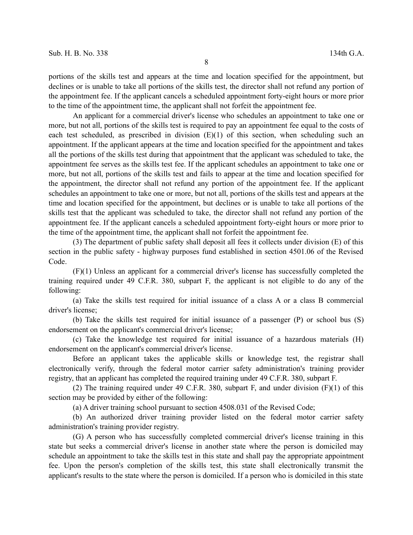portions of the skills test and appears at the time and location specified for the appointment, but declines or is unable to take all portions of the skills test, the director shall not refund any portion of the appointment fee. If the applicant cancels a scheduled appointment forty-eight hours or more prior to the time of the appointment time, the applicant shall not forfeit the appointment fee.

An applicant for a commercial driver's license who schedules an appointment to take one or more, but not all, portions of the skills test is required to pay an appointment fee equal to the costs of each test scheduled, as prescribed in division  $(E)(1)$  of this section, when scheduling such an appointment. If the applicant appears at the time and location specified for the appointment and takes all the portions of the skills test during that appointment that the applicant was scheduled to take, the appointment fee serves as the skills test fee. If the applicant schedules an appointment to take one or more, but not all, portions of the skills test and fails to appear at the time and location specified for the appointment, the director shall not refund any portion of the appointment fee. If the applicant schedules an appointment to take one or more, but not all, portions of the skills test and appears at the time and location specified for the appointment, but declines or is unable to take all portions of the skills test that the applicant was scheduled to take, the director shall not refund any portion of the appointment fee. If the applicant cancels a scheduled appointment forty-eight hours or more prior to the time of the appointment time, the applicant shall not forfeit the appointment fee.

(3) The department of public safety shall deposit all fees it collects under division (E) of this section in the public safety - highway purposes fund established in section 4501.06 of the Revised Code.

(F)(1) Unless an applicant for a commercial driver's license has successfully completed the training required under 49 C.F.R. 380, subpart F, the applicant is not eligible to do any of the following:

(a) Take the skills test required for initial issuance of a class A or a class B commercial driver's license;

(b) Take the skills test required for initial issuance of a passenger (P) or school bus (S) endorsement on the applicant's commercial driver's license;

(c) Take the knowledge test required for initial issuance of a hazardous materials (H) endorsement on the applicant's commercial driver's license.

Before an applicant takes the applicable skills or knowledge test, the registrar shall electronically verify, through the federal motor carrier safety administration's training provider registry, that an applicant has completed the required training under 49 C.F.R. 380, subpart F.

(2) The training required under 49 C.F.R. 380, subpart F, and under division (F)(1) of this section may be provided by either of the following:

(a) A driver training school pursuant to section 4508.031 of the Revised Code;

(b) An authorized driver training provider listed on the federal motor carrier safety administration's training provider registry.

(G) A person who has successfully completed commercial driver's license training in this state but seeks a commercial driver's license in another state where the person is domiciled may schedule an appointment to take the skills test in this state and shall pay the appropriate appointment fee. Upon the person's completion of the skills test, this state shall electronically transmit the applicant's results to the state where the person is domiciled. If a person who is domiciled in this state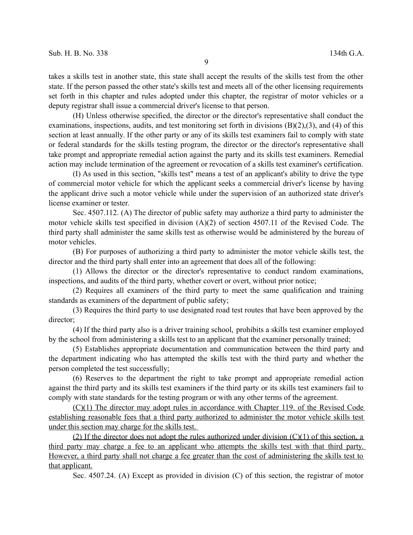takes a skills test in another state, this state shall accept the results of the skills test from the other state. If the person passed the other state's skills test and meets all of the other licensing requirements set forth in this chapter and rules adopted under this chapter, the registrar of motor vehicles or a deputy registrar shall issue a commercial driver's license to that person.

(H) Unless otherwise specified, the director or the director's representative shall conduct the examinations, inspections, audits, and test monitoring set forth in divisions (B)(2),(3), and (4) of this section at least annually. If the other party or any of its skills test examiners fail to comply with state or federal standards for the skills testing program, the director or the director's representative shall take prompt and appropriate remedial action against the party and its skills test examiners. Remedial action may include termination of the agreement or revocation of a skills test examiner's certification.

(I) As used in this section, "skills test" means a test of an applicant's ability to drive the type of commercial motor vehicle for which the applicant seeks a commercial driver's license by having the applicant drive such a motor vehicle while under the supervision of an authorized state driver's license examiner or tester.

Sec. 4507.112. (A) The director of public safety may authorize a third party to administer the motor vehicle skills test specified in division (A)(2) of section 4507.11 of the Revised Code. The third party shall administer the same skills test as otherwise would be administered by the bureau of motor vehicles.

(B) For purposes of authorizing a third party to administer the motor vehicle skills test, the director and the third party shall enter into an agreement that does all of the following:

(1) Allows the director or the director's representative to conduct random examinations, inspections, and audits of the third party, whether covert or overt, without prior notice;

(2) Requires all examiners of the third party to meet the same qualification and training standards as examiners of the department of public safety;

(3) Requires the third party to use designated road test routes that have been approved by the director;

(4) If the third party also is a driver training school, prohibits a skills test examiner employed by the school from administering a skills test to an applicant that the examiner personally trained;

(5) Establishes appropriate documentation and communication between the third party and the department indicating who has attempted the skills test with the third party and whether the person completed the test successfully;

(6) Reserves to the department the right to take prompt and appropriate remedial action against the third party and its skills test examiners if the third party or its skills test examiners fail to comply with state standards for the testing program or with any other terms of the agreement.

(C)(1) The director may adopt rules in accordance with Chapter 119. of the Revised Code establishing reasonable fees that a third party authorized to administer the motor vehicle skills test under this section may charge for the skills test.

(2) If the director does not adopt the rules authorized under division  $(C)(1)$  of this section, a third party may charge a fee to an applicant who attempts the skills test with that third party. However, a third party shall not charge a fee greater than the cost of administering the skills test to that applicant.

Sec. 4507.24. (A) Except as provided in division (C) of this section, the registrar of motor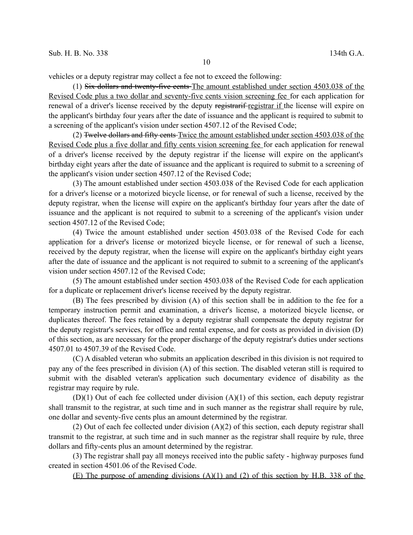vehicles or a deputy registrar may collect a fee not to exceed the following:

(1) Six dollars and twenty-five cents The amount established under section 4503.038 of the Revised Code plus a two dollar and seventy-five cents vision screening fee for each application for renewal of a driver's license received by the deputy registrarif registrar if the license will expire on the applicant's birthday four years after the date of issuance and the applicant is required to submit to a screening of the applicant's vision under section 4507.12 of the Revised Code;

(2) Twelve dollars and fifty cents Twice the amount established under section 4503.038 of the Revised Code plus a five dollar and fifty cents vision screening fee for each application for renewal of a driver's license received by the deputy registrar if the license will expire on the applicant's birthday eight years after the date of issuance and the applicant is required to submit to a screening of the applicant's vision under section 4507.12 of the Revised Code;

(3) The amount established under section 4503.038 of the Revised Code for each application for a driver's license or a motorized bicycle license, or for renewal of such a license, received by the deputy registrar, when the license will expire on the applicant's birthday four years after the date of issuance and the applicant is not required to submit to a screening of the applicant's vision under section 4507.12 of the Revised Code;

(4) Twice the amount established under section 4503.038 of the Revised Code for each application for a driver's license or motorized bicycle license, or for renewal of such a license, received by the deputy registrar, when the license will expire on the applicant's birthday eight years after the date of issuance and the applicant is not required to submit to a screening of the applicant's vision under section 4507.12 of the Revised Code;

(5) The amount established under section 4503.038 of the Revised Code for each application for a duplicate or replacement driver's license received by the deputy registrar.

(B) The fees prescribed by division (A) of this section shall be in addition to the fee for a temporary instruction permit and examination, a driver's license, a motorized bicycle license, or duplicates thereof. The fees retained by a deputy registrar shall compensate the deputy registrar for the deputy registrar's services, for office and rental expense, and for costs as provided in division (D) of this section, as are necessary for the proper discharge of the deputy registrar's duties under sections 4507.01 to 4507.39 of the Revised Code.

(C) A disabled veteran who submits an application described in this division is not required to pay any of the fees prescribed in division (A) of this section. The disabled veteran still is required to submit with the disabled veteran's application such documentary evidence of disability as the registrar may require by rule.

 $(D)(1)$  Out of each fee collected under division  $(A)(1)$  of this section, each deputy registrar shall transmit to the registrar, at such time and in such manner as the registrar shall require by rule, one dollar and seventy-five cents plus an amount determined by the registrar.

(2) Out of each fee collected under division (A)(2) of this section, each deputy registrar shall transmit to the registrar, at such time and in such manner as the registrar shall require by rule, three dollars and fifty-cents plus an amount determined by the registrar.

(3) The registrar shall pay all moneys received into the public safety - highway purposes fund created in section 4501.06 of the Revised Code.

(E) The purpose of amending divisions (A)(1) and (2) of this section by H.B. 338 of the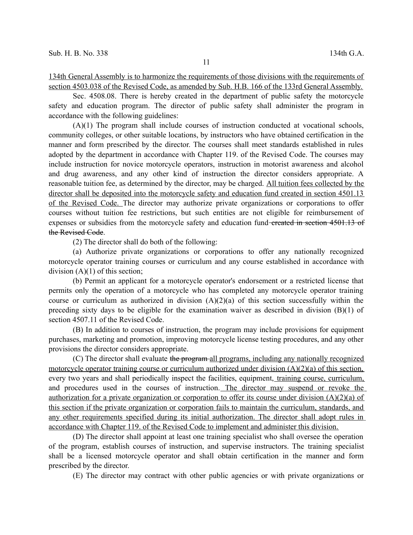134th General Assembly is to harmonize the requirements of those divisions with the requirements of section 4503.038 of the Revised Code, as amended by Sub. H.B. 166 of the 133rd General Assembly.

Sec. 4508.08. There is hereby created in the department of public safety the motorcycle safety and education program. The director of public safety shall administer the program in accordance with the following guidelines:

(A)(1) The program shall include courses of instruction conducted at vocational schools, community colleges, or other suitable locations, by instructors who have obtained certification in the manner and form prescribed by the director. The courses shall meet standards established in rules adopted by the department in accordance with Chapter 119. of the Revised Code. The courses may include instruction for novice motorcycle operators, instruction in motorist awareness and alcohol and drug awareness, and any other kind of instruction the director considers appropriate. A reasonable tuition fee, as determined by the director, may be charged. All tuition fees collected by the director shall be deposited into the motorcycle safety and education fund created in section 4501.13 of the Revised Code. The director may authorize private organizations or corporations to offer courses without tuition fee restrictions, but such entities are not eligible for reimbursement of expenses or subsidies from the motorcycle safety and education fund-ereated in section 4501.13 of the Revised Code.

(2) The director shall do both of the following:

(a) Authorize private organizations or corporations to offer any nationally recognized motorcycle operator training courses or curriculum and any course established in accordance with division  $(A)(1)$  of this section;

(b) Permit an applicant for a motorcycle operator's endorsement or a restricted license that permits only the operation of a motorcycle who has completed any motorcycle operator training course or curriculum as authorized in division  $(A)(2)(a)$  of this section successfully within the preceding sixty days to be eligible for the examination waiver as described in division  $(B)(1)$  of section 4507.11 of the Revised Code.

(B) In addition to courses of instruction, the program may include provisions for equipment purchases, marketing and promotion, improving motorcycle license testing procedures, and any other provisions the director considers appropriate.

(C) The director shall evaluate the program all programs, including any nationally recognized motorcycle operator training course or curriculum authorized under division (A)(2)(a) of this section, every two years and shall periodically inspect the facilities, equipment, training course, curriculum, and procedures used in the courses of instruction. The director may suspend or revoke the authorization for a private organization or corporation to offer its course under division (A)(2)(a) of this section if the private organization or corporation fails to maintain the curriculum, standards, and any other requirements specified during its initial authorization. The director shall adopt rules in accordance with Chapter 119. of the Revised Code to implement and administer this division.

(D) The director shall appoint at least one training specialist who shall oversee the operation of the program, establish courses of instruction, and supervise instructors. The training specialist shall be a licensed motorcycle operator and shall obtain certification in the manner and form prescribed by the director.

(E) The director may contract with other public agencies or with private organizations or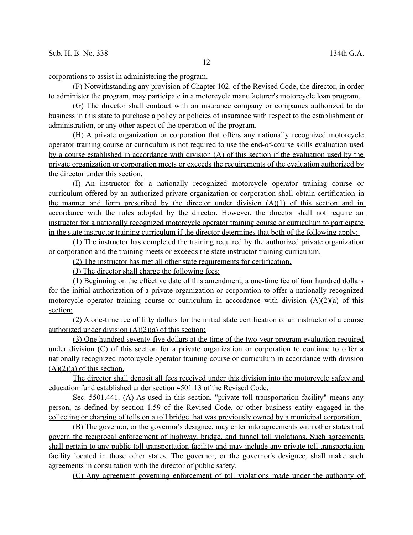corporations to assist in administering the program.

(F) Notwithstanding any provision of Chapter 102. of the Revised Code, the director, in order to administer the program, may participate in a motorcycle manufacturer's motorcycle loan program.

(G) The director shall contract with an insurance company or companies authorized to do business in this state to purchase a policy or policies of insurance with respect to the establishment or administration, or any other aspect of the operation of the program.

(H) A private organization or corporation that offers any nationally recognized motorcycle operator training course or curriculum is not required to use the end-of-course skills evaluation used by a course established in accordance with division (A) of this section if the evaluation used by the private organization or corporation meets or exceeds the requirements of the evaluation authorized by the director under this section.

(I) An instructor for a nationally recognized motorcycle operator training course or curriculum offered by an authorized private organization or corporation shall obtain certification in the manner and form prescribed by the director under division  $(A)(1)$  of this section and in accordance with the rules adopted by the director. However, the director shall not require an instructor for a nationally recognized motorcycle operator training course or curriculum to participate in the state instructor training curriculum if the director determines that both of the following apply:

(1) The instructor has completed the training required by the authorized private organization or corporation and the training meets or exceeds the state instructor training curriculum.

(2) The instructor has met all other state requirements for certification.

(J) The director shall charge the following fees:

(1) Beginning on the effective date of this amendment, a one-time fee of four hundred dollars for the initial authorization of a private organization or corporation to offer a nationally recognized motorcycle operator training course or curriculum in accordance with division  $(A)(2)(a)$  of this section;

(2) A one-time fee of fifty dollars for the initial state certification of an instructor of a course authorized under division  $(A)(2)(a)$  of this section;

(3) One hundred seventy-five dollars at the time of the two-year program evaluation required under division (C) of this section for a private organization or corporation to continue to offer a nationally recognized motorcycle operator training course or curriculum in accordance with division  $(A)(2)(a)$  of this section.

The director shall deposit all fees received under this division into the motorcycle safety and education fund established under section 4501.13 of the Revised Code.

Sec. 5501.441. (A) As used in this section, "private toll transportation facility" means any person, as defined by section 1.59 of the Revised Code, or other business entity engaged in the collecting or charging of tolls on a toll bridge that was previously owned by a municipal corporation.

(B) The governor, or the governor's designee, may enter into agreements with other states that govern the reciprocal enforcement of highway, bridge, and tunnel toll violations. Such agreements shall pertain to any public toll transportation facility and may include any private toll transportation facility located in those other states. The governor, or the governor's designee, shall make such agreements in consultation with the director of public safety.

(C) Any agreement governing enforcement of toll violations made under the authority of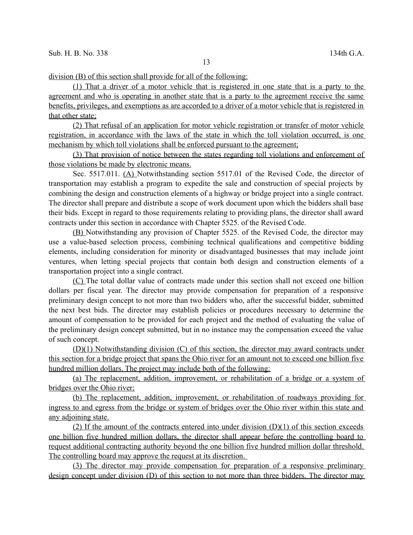division (B) of this section shall provide for all of the following:

(1) That a driver of a motor vehicle that is registered in one state that is a party to the agreement and who is operating in another state that is a party to the agreement receive the same benefits, privileges, and exemptions as are accorded to a driver of a motor vehicle that is registered in that other state;

(2) That refusal of an application for motor vehicle registration or transfer of motor vehicle registration, in accordance with the laws of the state in which the toll violation occurred, is one mechanism by which toll violations shall be enforced pursuant to the agreement;

(3) That provision of notice between the states regarding toll violations and enforcement of those violations be made by electronic means.

Sec. 5517.011. (A) Notwithstanding section 5517.01 of the Revised Code, the director of transportation may establish a program to expedite the sale and construction of special projects by combining the design and construction elements of a highway or bridge project into a single contract. The director shall prepare and distribute a scope of work document upon which the bidders shall base their bids. Except in regard to those requirements relating to providing plans, the director shall award contracts under this section in accordance with Chapter 5525. of the Revised Code.

(B) Notwithstanding any provision of Chapter 5525. of the Revised Code, the director may use a value-based selection process, combining technical qualifications and competitive bidding elements, including consideration for minority or disadvantaged businesses that may include joint ventures, when letting special projects that contain both design and construction elements of a transportation project into a single contract.

(C) The total dollar value of contracts made under this section shall not exceed one billion dollars per fiscal year. The director may provide compensation for preparation of a responsive preliminary design concept to not more than two bidders who, after the successful bidder, submitted the next best bids. The director may establish policies or procedures necessary to determine the amount of compensation to be provided for each project and the method of evaluating the value of the preliminary design concept submitted, but in no instance may the compensation exceed the value of such concept.

 (D)(1) Notwithstanding division (C) of this section, the director may award contracts under this section for a bridge project that spans the Ohio river for an amount not to exceed one billion five hundred million dollars. The project may include both of the following:

(a) The replacement, addition, improvement, or rehabilitation of a bridge or a system of bridges over the Ohio river;

(b) The replacement, addition, improvement, or rehabilitation of roadways providing for ingress to and egress from the bridge or system of bridges over the Ohio river within this state and any adjoining state.

(2) If the amount of the contracts entered into under division  $(D)(1)$  of this section exceeds one billion five hundred million dollars, the director shall appear before the controlling board to request additional contracting authority beyond the one billion five hundred million dollar threshold. The controlling board may approve the request at its discretion.

(3) The director may provide compensation for preparation of a responsive preliminary design concept under division (D) of this section to not more than three bidders. The director may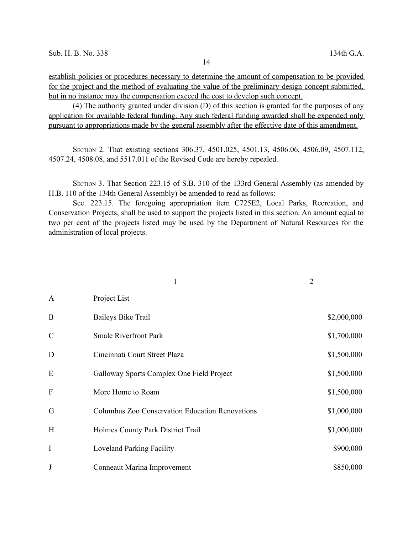establish policies or procedures necessary to determine the amount of compensation to be provided for the project and the method of evaluating the value of the preliminary design concept submitted, but in no instance may the compensation exceed the cost to develop such concept.

 (4) The authority granted under division (D) of this section is granted for the purposes of any application for available federal funding. Any such federal funding awarded shall be expended only pursuant to appropriations made by the general assembly after the effective date of this amendment.

SECTION 2. That existing sections 306.37, 4501.025, 4501.13, 4506.06, 4506.09, 4507.112, 4507.24, 4508.08, and 5517.011 of the Revised Code are hereby repealed.

SECTION 3. That Section 223.15 of S.B. 310 of the 133rd General Assembly (as amended by H.B. 110 of the 134th General Assembly) be amended to read as follows:

Sec. 223.15. The foregoing appropriation item C725E2, Local Parks, Recreation, and Conservation Projects, shall be used to support the projects listed in this section. An amount equal to two per cent of the projects listed may be used by the Department of Natural Resources for the administration of local projects.

|                           |                                                 | $\overline{2}$ |             |
|---------------------------|-------------------------------------------------|----------------|-------------|
| $\mathbf{A}$              | Project List                                    |                |             |
| B                         | <b>Baileys Bike Trail</b>                       |                | \$2,000,000 |
| $\mathcal{C}$             | <b>Smale Riverfront Park</b>                    |                | \$1,700,000 |
| D                         | Cincinnati Court Street Plaza                   |                | \$1,500,000 |
| E                         | Galloway Sports Complex One Field Project       |                | \$1,500,000 |
| $\boldsymbol{\mathrm{F}}$ | More Home to Roam                               |                | \$1,500,000 |
| G                         | Columbus Zoo Conservation Education Renovations |                | \$1,000,000 |
| H                         | Holmes County Park District Trail               |                | \$1,000,000 |
| I                         | <b>Loveland Parking Facility</b>                |                | \$900,000   |
| J                         | Conneaut Marina Improvement                     |                | \$850,000   |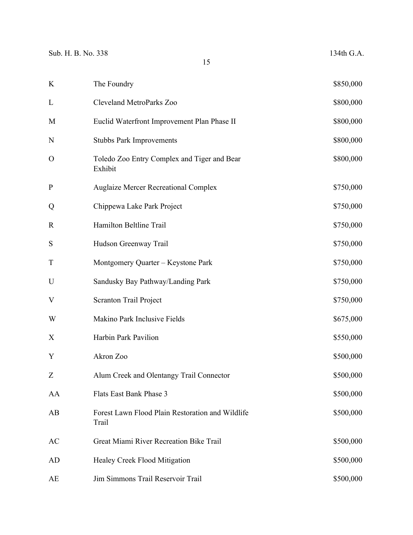| $\rm K$                   | The Foundry                                               | \$850,000 |
|---------------------------|-----------------------------------------------------------|-----------|
| L                         | <b>Cleveland MetroParks Zoo</b>                           | \$800,000 |
| M                         | Euclid Waterfront Improvement Plan Phase II               | \$800,000 |
| N                         | <b>Stubbs Park Improvements</b>                           | \$800,000 |
| $\mathbf O$               | Toledo Zoo Entry Complex and Tiger and Bear<br>Exhibit    | \$800,000 |
| ${\bf P}$                 | <b>Auglaize Mercer Recreational Complex</b>               | \$750,000 |
| Q                         | Chippewa Lake Park Project                                | \$750,000 |
| $\mathbf R$               | Hamilton Beltline Trail                                   | \$750,000 |
| ${\bf S}$                 | Hudson Greenway Trail                                     | \$750,000 |
| T                         | Montgomery Quarter - Keystone Park                        | \$750,000 |
| U                         | Sandusky Bay Pathway/Landing Park                         | \$750,000 |
| V                         | Scranton Trail Project                                    | \$750,000 |
| W                         | Makino Park Inclusive Fields                              | \$675,000 |
| $\boldsymbol{\mathrm{X}}$ | Harbin Park Pavilion                                      | \$550,000 |
| Y                         | Akron Zoo                                                 | \$500,000 |
| Z                         | Alum Creek and Olentangy Trail Connector                  | \$500,000 |
| AA                        | Flats East Bank Phase 3                                   | \$500,000 |
| AB                        | Forest Lawn Flood Plain Restoration and Wildlife<br>Trail | \$500,000 |
| AC                        | Great Miami River Recreation Bike Trail                   | \$500,000 |
| AD                        | Healey Creek Flood Mitigation                             | \$500,000 |
| AE                        | Jim Simmons Trail Reservoir Trail                         | \$500,000 |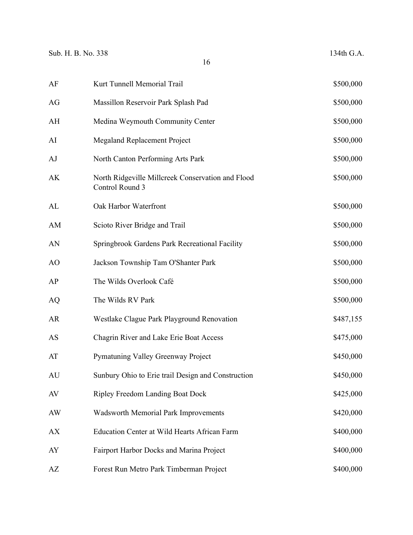| AF | Kurt Tunnell Memorial Trail                                          | \$500,000 |
|----|----------------------------------------------------------------------|-----------|
| AG | Massillon Reservoir Park Splash Pad                                  | \$500,000 |
| AH | Medina Weymouth Community Center                                     | \$500,000 |
| AI | <b>Megaland Replacement Project</b>                                  | \$500,000 |
| AJ | North Canton Performing Arts Park                                    | \$500,000 |
| AK | North Ridgeville Millcreek Conservation and Flood<br>Control Round 3 | \$500,000 |
| AL | Oak Harbor Waterfront                                                | \$500,000 |
| AM | Scioto River Bridge and Trail                                        | \$500,000 |
| AN | Springbrook Gardens Park Recreational Facility                       | \$500,000 |
| AO | Jackson Township Tam O'Shanter Park                                  | \$500,000 |
| AP | The Wilds Overlook Café                                              | \$500,000 |
| AQ | The Wilds RV Park                                                    | \$500,000 |
| AR | Westlake Clague Park Playground Renovation                           | \$487,155 |
| AS | Chagrin River and Lake Erie Boat Access                              | \$475,000 |
| AT | Pymatuning Valley Greenway Project                                   | \$450,000 |
| AU | Sunbury Ohio to Erie trail Design and Construction                   | \$450,000 |
| AV | <b>Ripley Freedom Landing Boat Dock</b>                              | \$425,000 |
| AW | <b>Wadsworth Memorial Park Improvements</b>                          | \$420,000 |
| AX | <b>Education Center at Wild Hearts African Farm</b>                  | \$400,000 |
| AY | Fairport Harbor Docks and Marina Project                             | \$400,000 |
| AZ | Forest Run Metro Park Timberman Project                              | \$400,000 |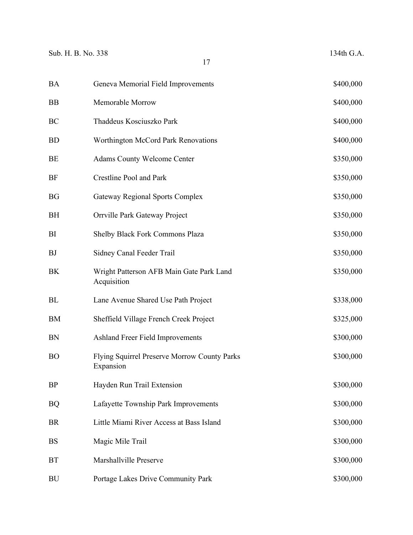| BA | Geneva Memorial Field Improvements                        | \$400,000 |
|----|-----------------------------------------------------------|-----------|
| ΒB | Memorable Morrow                                          | \$400,000 |
| ВC | Thaddeus Kosciuszko Park                                  | \$400,000 |
| BD | Worthington McCord Park Renovations                       | \$400,000 |
| ВE | <b>Adams County Welcome Center</b>                        | \$350,000 |
| BF | Crestline Pool and Park                                   | \$350,000 |
| BG | <b>Gateway Regional Sports Complex</b>                    | \$350,000 |
| BH | Orrville Park Gateway Project                             | \$350,000 |
| BI | Shelby Black Fork Commons Plaza                           | \$350,000 |
| ΒJ | Sidney Canal Feeder Trail                                 | \$350,000 |
| ΒK | Wright Patterson AFB Main Gate Park Land<br>Acquisition   | \$350,000 |
| ВL | Lane Avenue Shared Use Path Project                       | \$338,000 |
| ВM | Sheffield Village French Creek Project                    | \$325,000 |
| ΒN | Ashland Freer Field Improvements                          | \$300,000 |
| ВO | Flying Squirrel Preserve Morrow County Parks<br>Expansion | \$300,000 |
| BP | Hayden Run Trail Extension                                | \$300,000 |
| BQ | Lafayette Township Park Improvements                      | \$300,000 |
| BR | Little Miami River Access at Bass Island                  | \$300,000 |
| BS | Magic Mile Trail                                          | \$300,000 |
| ВT | Marshallville Preserve                                    | \$300,000 |
| BU | Portage Lakes Drive Community Park                        | \$300,000 |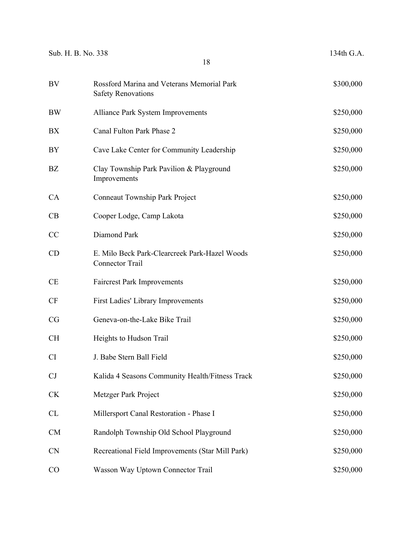| Sub. H. B. No. 338 | 18                                                                      | 134th G.A. |
|--------------------|-------------------------------------------------------------------------|------------|
| BV                 | Rossford Marina and Veterans Memorial Park<br><b>Safety Renovations</b> | \$300,000  |
| <b>BW</b>          | <b>Alliance Park System Improvements</b>                                | \$250,000  |
| BX                 | Canal Fulton Park Phase 2                                               | \$250,000  |
| BY                 | Cave Lake Center for Community Leadership                               | \$250,000  |
| BZ                 | Clay Township Park Pavilion & Playground<br>Improvements                | \$250,000  |
| CA                 | <b>Conneaut Township Park Project</b>                                   | \$250,000  |
| CB                 | Cooper Lodge, Camp Lakota                                               | \$250,000  |
| CC                 | Diamond Park                                                            | \$250,000  |
| CD                 | E. Milo Beck Park-Clearcreek Park-Hazel Woods<br><b>Connector Trail</b> | \$250,000  |
| <b>CE</b>          | <b>Faircrest Park Improvements</b>                                      | \$250,000  |
| <b>CF</b>          | First Ladies' Library Improvements                                      | \$250,000  |
| CG                 | Geneva-on-the-Lake Bike Trail                                           | \$250,000  |
| <b>CH</b>          | Heights to Hudson Trail                                                 | \$250,000  |
| CI                 | J. Babe Stern Ball Field                                                | \$250,000  |
| CJ                 | Kalida 4 Seasons Community Health/Fitness Track                         | \$250,000  |
| <b>CK</b>          | Metzger Park Project                                                    | \$250,000  |
| <b>CL</b>          | Millersport Canal Restoration - Phase I                                 | \$250,000  |
| <b>CM</b>          | Randolph Township Old School Playground                                 | \$250,000  |
| <b>CN</b>          | Recreational Field Improvements (Star Mill Park)                        | \$250,000  |
| CO                 | Wasson Way Uptown Connector Trail                                       | \$250,000  |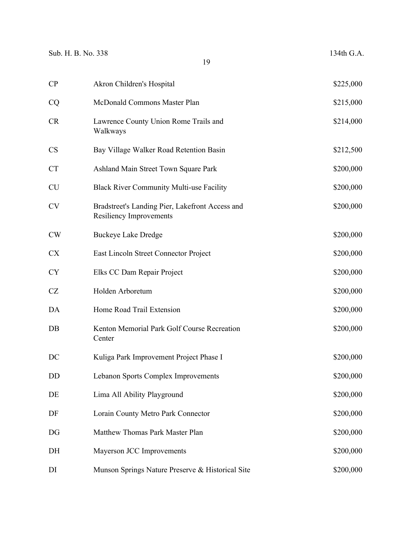| CP        | Akron Children's Hospital                                                         | \$225,000 |
|-----------|-----------------------------------------------------------------------------------|-----------|
| CQ        | McDonald Commons Master Plan                                                      | \$215,000 |
| CR        | Lawrence County Union Rome Trails and<br>Walkways                                 | \$214,000 |
| <b>CS</b> | Bay Village Walker Road Retention Basin                                           | \$212,500 |
| <b>CT</b> | Ashland Main Street Town Square Park                                              | \$200,000 |
| <b>CU</b> | <b>Black River Community Multi-use Facility</b>                                   | \$200,000 |
| <b>CV</b> | Bradstreet's Landing Pier, Lakefront Access and<br><b>Resiliency Improvements</b> | \$200,000 |
| <b>CW</b> | <b>Buckeye Lake Dredge</b>                                                        | \$200,000 |
| <b>CX</b> | East Lincoln Street Connector Project                                             | \$200,000 |
| <b>CY</b> | Elks CC Dam Repair Project                                                        | \$200,000 |
| <b>CZ</b> | Holden Arboretum                                                                  | \$200,000 |
| DA        | Home Road Trail Extension                                                         | \$200,000 |
| DB        | Kenton Memorial Park Golf Course Recreation<br>Center                             | \$200,000 |
| DC        | Kuliga Park Improvement Project Phase I                                           | \$200,000 |
| DD        | Lebanon Sports Complex Improvements                                               | \$200,000 |
| DE        | Lima All Ability Playground                                                       | \$200,000 |
| DF        | Lorain County Metro Park Connector                                                | \$200,000 |
| DG        | Matthew Thomas Park Master Plan                                                   | \$200,000 |
| DH        | Mayerson JCC Improvements                                                         | \$200,000 |
| DI        | Munson Springs Nature Preserve & Historical Site                                  | \$200,000 |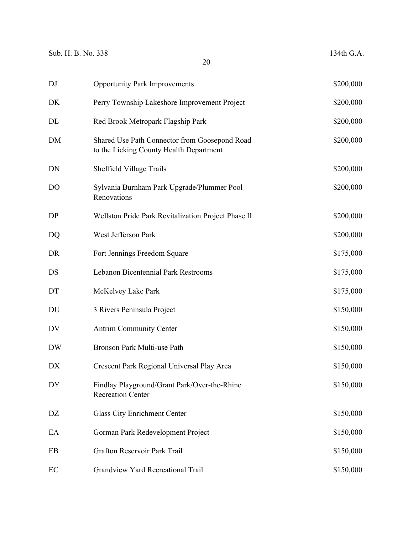| DJ             | <b>Opportunity Park Improvements</b>                                                     | \$200,000 |
|----------------|------------------------------------------------------------------------------------------|-----------|
| DK             | Perry Township Lakeshore Improvement Project                                             | \$200,000 |
| DL             | Red Brook Metropark Flagship Park                                                        | \$200,000 |
| DM             | Shared Use Path Connector from Goosepond Road<br>to the Licking County Health Department | \$200,000 |
| DN             | Sheffield Village Trails                                                                 | \$200,000 |
| D <sub>O</sub> | Sylvania Burnham Park Upgrade/Plummer Pool<br>Renovations                                | \$200,000 |
| DP             | Wellston Pride Park Revitalization Project Phase II                                      | \$200,000 |
| DQ             | West Jefferson Park                                                                      | \$200,000 |
| DR             | Fort Jennings Freedom Square                                                             | \$175,000 |
| DS             | Lebanon Bicentennial Park Restrooms                                                      | \$175,000 |
| DT             | McKelvey Lake Park                                                                       | \$175,000 |
| DU             | 3 Rivers Peninsula Project                                                               | \$150,000 |
| DV             | <b>Antrim Community Center</b>                                                           | \$150,000 |
| <b>DW</b>      | Bronson Park Multi-use Path                                                              | \$150,000 |
| DX             | Crescent Park Regional Universal Play Area                                               | \$150,000 |
| DY             | Findlay Playground/Grant Park/Over-the-Rhine<br><b>Recreation Center</b>                 | \$150,000 |
| DZ             | Glass City Enrichment Center                                                             | \$150,000 |
| EA             | Gorman Park Redevelopment Project                                                        | \$150,000 |
| EB             | Grafton Reservoir Park Trail                                                             | \$150,000 |
| EC             | Grandview Yard Recreational Trail                                                        | \$150,000 |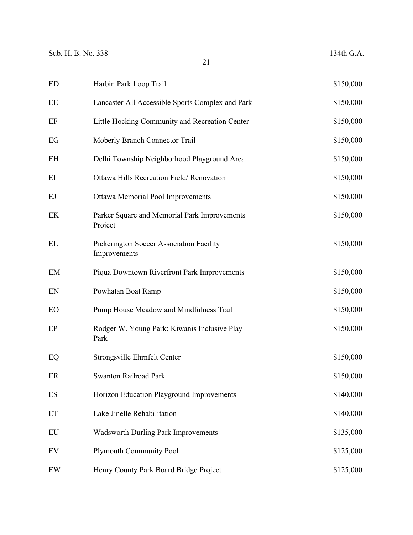| <b>ED</b>                | Harbin Park Loop Trail                                   | \$150,000 |
|--------------------------|----------------------------------------------------------|-----------|
| EE                       | Lancaster All Accessible Sports Complex and Park         | \$150,000 |
| EF                       | Little Hocking Community and Recreation Center           | \$150,000 |
| EG                       | Moberly Branch Connector Trail                           | \$150,000 |
| EH                       | Delhi Township Neighborhood Playground Area              | \$150,000 |
| EI                       | Ottawa Hills Recreation Field/Renovation                 | \$150,000 |
| EJ                       | Ottawa Memorial Pool Improvements                        | \$150,000 |
| EK                       | Parker Square and Memorial Park Improvements<br>Project  | \$150,000 |
| EL                       | Pickerington Soccer Association Facility<br>Improvements | \$150,000 |
| EM                       | Piqua Downtown Riverfront Park Improvements              | \$150,000 |
| EN                       | Powhatan Boat Ramp                                       | \$150,000 |
| <b>EO</b>                | Pump House Meadow and Mindfulness Trail                  | \$150,000 |
| EP                       | Rodger W. Young Park: Kiwanis Inclusive Play<br>Park     | \$150,000 |
| EQ                       | Strongsville Ehrnfelt Center                             | \$150,000 |
| ER                       | Swanton Railroad Park                                    | \$150,000 |
| $\mathop{\hbox{\rm ES}}$ | Horizon Education Playground Improvements                | \$140,000 |
| ET                       | Lake Jinelle Rehabilitation                              | \$140,000 |
| ${\rm EU}$               | <b>Wadsworth Durling Park Improvements</b>               | \$135,000 |
| EV                       | <b>Plymouth Community Pool</b>                           | \$125,000 |
| EW                       | Henry County Park Board Bridge Project                   | \$125,000 |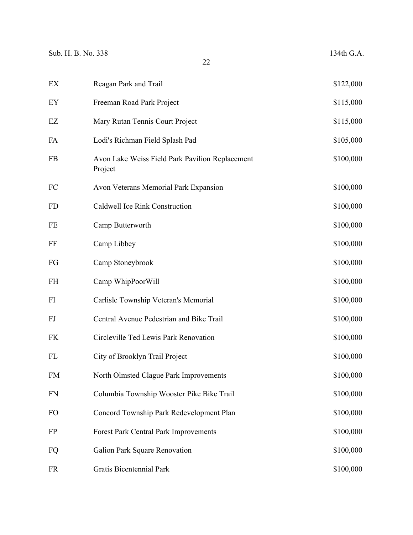| EX        | Reagan Park and Trail                                      | \$122,000 |
|-----------|------------------------------------------------------------|-----------|
| EY        | Freeman Road Park Project                                  | \$115,000 |
| EZ        | Mary Rutan Tennis Court Project                            | \$115,000 |
| FA        | Lodi's Richman Field Splash Pad                            | \$105,000 |
| FB        | Avon Lake Weiss Field Park Pavilion Replacement<br>Project | \$100,000 |
| FC        | Avon Veterans Memorial Park Expansion                      | \$100,000 |
| <b>FD</b> | Caldwell Ice Rink Construction                             | \$100,000 |
| $\rm FE$  | Camp Butterworth                                           | \$100,000 |
| FF        | Camp Libbey                                                | \$100,000 |
| FG        | Camp Stoneybrook                                           | \$100,000 |
| <b>FH</b> | Camp WhipPoorWill                                          | \$100,000 |
| FI        | Carlisle Township Veteran's Memorial                       | \$100,000 |
| FJ        | Central Avenue Pedestrian and Bike Trail                   | \$100,000 |
| <b>FK</b> | Circleville Ted Lewis Park Renovation                      | \$100,000 |
| FL        | City of Brooklyn Trail Project                             | \$100,000 |
| <b>FM</b> | North Olmsted Clague Park Improvements                     | \$100,000 |
| <b>FN</b> | Columbia Township Wooster Pike Bike Trail                  | \$100,000 |
| FO        | Concord Township Park Redevelopment Plan                   | \$100,000 |
| <b>FP</b> | Forest Park Central Park Improvements                      | \$100,000 |
| FQ        | Galion Park Square Renovation                              | \$100,000 |
| <b>FR</b> | Gratis Bicentennial Park                                   | \$100,000 |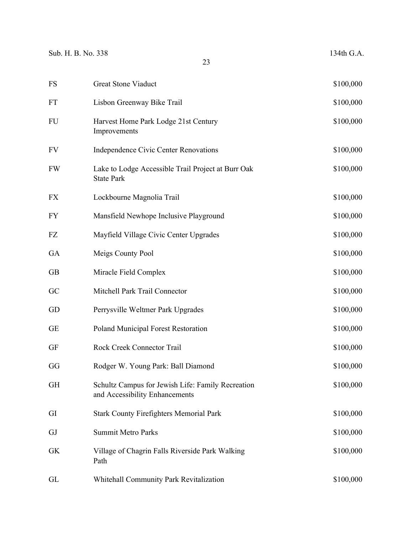| <b>FS</b> | <b>Great Stone Viaduct</b>                                                          | \$100,000 |
|-----------|-------------------------------------------------------------------------------------|-----------|
| <b>FT</b> | Lisbon Greenway Bike Trail                                                          | \$100,000 |
| <b>FU</b> | Harvest Home Park Lodge 21st Century<br>Improvements                                | \$100,000 |
| <b>FV</b> | <b>Independence Civic Center Renovations</b>                                        | \$100,000 |
| <b>FW</b> | Lake to Lodge Accessible Trail Project at Burr Oak<br><b>State Park</b>             | \$100,000 |
| <b>FX</b> | Lockbourne Magnolia Trail                                                           | \$100,000 |
| <b>FY</b> | Mansfield Newhope Inclusive Playground                                              | \$100,000 |
| FZ        | Mayfield Village Civic Center Upgrades                                              | \$100,000 |
| GA        | Meigs County Pool                                                                   | \$100,000 |
| <b>GB</b> | Miracle Field Complex                                                               | \$100,000 |
| GC        | Mitchell Park Trail Connector                                                       | \$100,000 |
| GD        | Perrysville Weltmer Park Upgrades                                                   | \$100,000 |
| <b>GE</b> | Poland Municipal Forest Restoration                                                 | \$100,000 |
| <b>GF</b> | Rock Creek Connector Trail                                                          | \$100,000 |
| GG        | Rodger W. Young Park: Ball Diamond                                                  | \$100,000 |
| <b>GH</b> | Schultz Campus for Jewish Life: Family Recreation<br>and Accessibility Enhancements | \$100,000 |
| GI        | <b>Stark County Firefighters Memorial Park</b>                                      | \$100,000 |
| GJ        | <b>Summit Metro Parks</b>                                                           | \$100,000 |
| <b>GK</b> | Village of Chagrin Falls Riverside Park Walking<br>Path                             | \$100,000 |
| GL        | Whitehall Community Park Revitalization                                             | \$100,000 |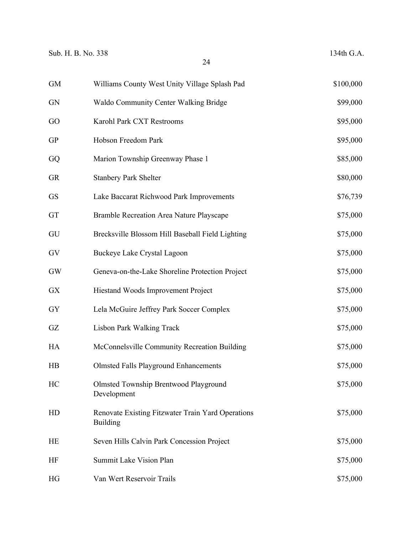| <b>GM</b> | Williams County West Unity Village Splash Pad                        | \$100,000 |
|-----------|----------------------------------------------------------------------|-----------|
| GN        | <b>Waldo Community Center Walking Bridge</b>                         | \$99,000  |
| <b>GO</b> | Karohl Park CXT Restrooms                                            | \$95,000  |
| GP        | Hobson Freedom Park                                                  | \$95,000  |
| GQ        | Marion Township Greenway Phase 1                                     | \$85,000  |
| GR        | <b>Stanbery Park Shelter</b>                                         | \$80,000  |
| GS        | Lake Baccarat Richwood Park Improvements                             | \$76,739  |
| GT        | Bramble Recreation Area Nature Playscape                             | \$75,000  |
| GU        | Brecksville Blossom Hill Baseball Field Lighting                     | \$75,000  |
| GV        | Buckeye Lake Crystal Lagoon                                          | \$75,000  |
| GW        | Geneva-on-the-Lake Shoreline Protection Project                      | \$75,000  |
| GX        | Hiestand Woods Improvement Project                                   | \$75,000  |
| GY        | Lela McGuire Jeffrey Park Soccer Complex                             | \$75,000  |
| GZ        | <b>Lisbon Park Walking Track</b>                                     | \$75,000  |
| HA        | McConnelsville Community Recreation Building                         | \$75,000  |
| HB        | <b>Olmsted Falls Playground Enhancements</b>                         | \$75,000  |
| HC        | <b>Olmsted Township Brentwood Playground</b><br>Development          | \$75,000  |
| HD        | Renovate Existing Fitzwater Train Yard Operations<br><b>Building</b> | \$75,000  |
| НE        | Seven Hills Calvin Park Concession Project                           | \$75,000  |
| HF        | Summit Lake Vision Plan                                              | \$75,000  |
| HG        | Van Wert Reservoir Trails                                            | \$75,000  |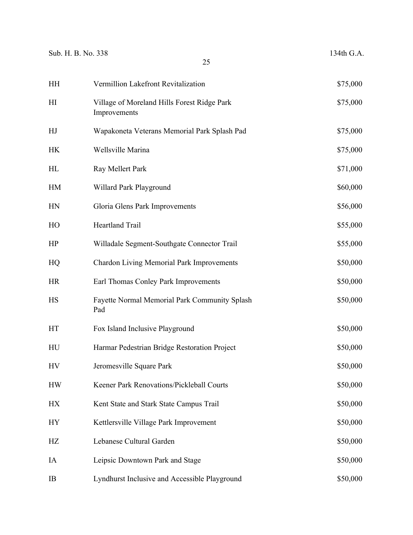| Sub. H. B. No. 338 | 25                                                          | 134th G.A. |
|--------------------|-------------------------------------------------------------|------------|
| <b>HH</b>          | Vermillion Lakefront Revitalization                         | \$75,000   |
| H <sub>I</sub>     | Village of Moreland Hills Forest Ridge Park<br>Improvements | \$75,000   |
| HJ                 | Wapakoneta Veterans Memorial Park Splash Pad                | \$75,000   |
| <b>HK</b>          | Wellsville Marina                                           | \$75,000   |
| HL                 | Ray Mellert Park                                            | \$71,000   |
| HM                 | Willard Park Playground                                     | \$60,000   |
| HN                 | Gloria Glens Park Improvements                              | \$56,000   |
| HO                 | Heartland Trail                                             | \$55,000   |
| HP                 | Willadale Segment-Southgate Connector Trail                 | \$55,000   |
| HQ                 | <b>Chardon Living Memorial Park Improvements</b>            | \$50,000   |
| <b>HR</b>          | Earl Thomas Conley Park Improvements                        | \$50,000   |
| <b>HS</b>          | Fayette Normal Memorial Park Community Splash<br>Pad        | \$50,000   |
| HT                 | Fox Island Inclusive Playground                             | \$50,000   |
| HU                 | Harmar Pedestrian Bridge Restoration Project                | \$50,000   |
| <b>HV</b>          | Jeromesville Square Park                                    | \$50,000   |
| <b>HW</b>          | Keener Park Renovations/Pickleball Courts                   | \$50,000   |
| <b>HX</b>          | Kent State and Stark State Campus Trail                     | \$50,000   |
| <b>HY</b>          | Kettlersville Village Park Improvement                      | \$50,000   |
| HZ                 | Lebanese Cultural Garden                                    | \$50,000   |
| IA                 | Leipsic Downtown Park and Stage                             | \$50,000   |
| IB                 | Lyndhurst Inclusive and Accessible Playground               | \$50,000   |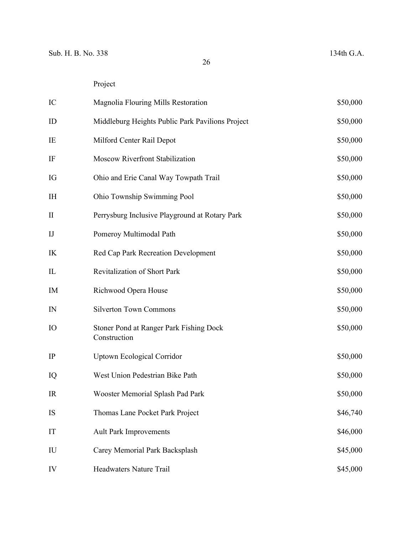| IC             | Magnolia Flouring Mills Restoration                     | \$50,000 |
|----------------|---------------------------------------------------------|----------|
| ID             | Middleburg Heights Public Park Pavilions Project        | \$50,000 |
| IE             | Milford Center Rail Depot                               | \$50,000 |
| IF             | Moscow Riverfront Stabilization                         | \$50,000 |
| IG             | Ohio and Erie Canal Way Towpath Trail                   | \$50,000 |
| <b>IH</b>      | Ohio Township Swimming Pool                             | \$50,000 |
| $\mathbf{I}$   | Perrysburg Inclusive Playground at Rotary Park          | \$50,000 |
| $_{\text{IJ}}$ | Pomeroy Multimodal Path                                 | \$50,000 |
| IK             | Red Cap Park Recreation Development                     | \$50,000 |
| IL             | Revitalization of Short Park                            | \$50,000 |
| IM             | Richwood Opera House                                    | \$50,000 |
| IN             | <b>Silverton Town Commons</b>                           | \$50,000 |
| IO             | Stoner Pond at Ranger Park Fishing Dock<br>Construction | \$50,000 |
| IP             | <b>Uptown Ecological Corridor</b>                       | \$50,000 |
| IQ             | West Union Pedestrian Bike Path                         | \$50,000 |
| IR             | Wooster Memorial Splash Pad Park                        | \$50,000 |
| IS             | Thomas Lane Pocket Park Project                         | \$46,740 |
| IT             | <b>Ault Park Improvements</b>                           | \$46,000 |
| IU             | Carey Memorial Park Backsplash                          | \$45,000 |
| IV             | Headwaters Nature Trail                                 | \$45,000 |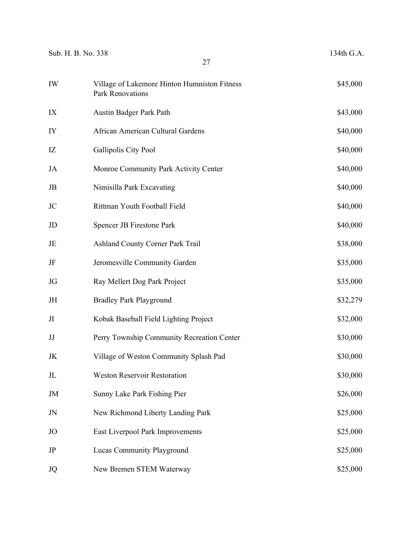| Sub. H. B. No. 338 | 27                                                               | 134th G.A. |  |
|--------------------|------------------------------------------------------------------|------------|--|
| IW                 | Village of Lakemore Hinton Humniston Fitness<br>Park Renovations | \$45,000   |  |
| IX                 | Austin Badger Park Path                                          | \$43,000   |  |
| IY                 | African American Cultural Gardens                                | \$40,000   |  |
| IZ                 | Gallipolis City Pool                                             | \$40,000   |  |
| JA                 | Monroe Community Park Activity Center                            | \$40,000   |  |
| JB                 | Nimisilla Park Excavating                                        | \$40,000   |  |
| JC                 | Rittman Youth Football Field                                     | \$40,000   |  |
| JD                 | Spencer JB Firestone Park                                        | \$40,000   |  |
| JE                 | Ashland County Corner Park Trail                                 | \$38,000   |  |
| JF                 | Jeromesville Community Garden                                    | \$35,000   |  |
| JG                 | Ray Mellert Dog Park Project                                     | \$35,000   |  |
| JH                 | <b>Bradley Park Playground</b>                                   | \$32,279   |  |
| JI                 | Kobak Baseball Field Lighting Project                            | \$32,000   |  |
| JJ                 | Perry Township Community Recreation Center                       | \$30,000   |  |
| JK                 | Village of Weston Community Splash Pad                           | \$30,000   |  |
| JL                 | Weston Reservoir Restoration                                     | \$30,000   |  |
| JM                 | Sunny Lake Park Fishing Pier                                     | \$26,000   |  |
| JN                 | New Richmond Liberty Landing Park                                | \$25,000   |  |
| JO                 | East Liverpool Park Improvements                                 | \$25,000   |  |
| JP                 | Lucas Community Playground                                       | \$25,000   |  |
| JQ                 | New Bremen STEM Waterway                                         | \$25,000   |  |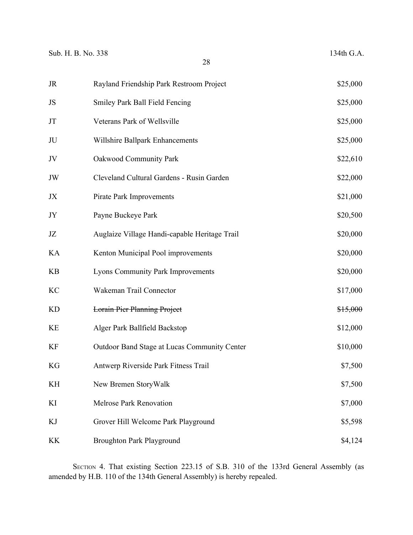| JR        | Rayland Friendship Park Restroom Project      | \$25,000 |
|-----------|-----------------------------------------------|----------|
| JS        | Smiley Park Ball Field Fencing                | \$25,000 |
| JT        | Veterans Park of Wellsville                   | \$25,000 |
| JU        | Willshire Ballpark Enhancements               | \$25,000 |
| JV        | <b>Oakwood Community Park</b>                 | \$22,610 |
| JW        | Cleveland Cultural Gardens - Rusin Garden     | \$22,000 |
| JX        | Pirate Park Improvements                      | \$21,000 |
| JY        | Payne Buckeye Park                            | \$20,500 |
| JZ        | Auglaize Village Handi-capable Heritage Trail | \$20,000 |
| KA        | Kenton Municipal Pool improvements            | \$20,000 |
| <b>KB</b> | <b>Lyons Community Park Improvements</b>      | \$20,000 |
| KC        | Wakeman Trail Connector                       | \$17,000 |
| <b>KD</b> | <b>Lorain Pier Planning Project</b>           | \$15,000 |
| KE        | Alger Park Ballfield Backstop                 | \$12,000 |
| KF        | Outdoor Band Stage at Lucas Community Center  | \$10,000 |
| KG        | Antwerp Riverside Park Fitness Trail          | \$7,500  |
| KH        | New Bremen StoryWalk                          | \$7,500  |
| KI        | <b>Melrose Park Renovation</b>                | \$7,000  |
| KJ        | Grover Hill Welcome Park Playground           | \$5,598  |
| KK        | <b>Broughton Park Playground</b>              | \$4,124  |

SECTION 4. That existing Section 223.15 of S.B. 310 of the 133rd General Assembly (as amended by H.B. 110 of the 134th General Assembly) is hereby repealed.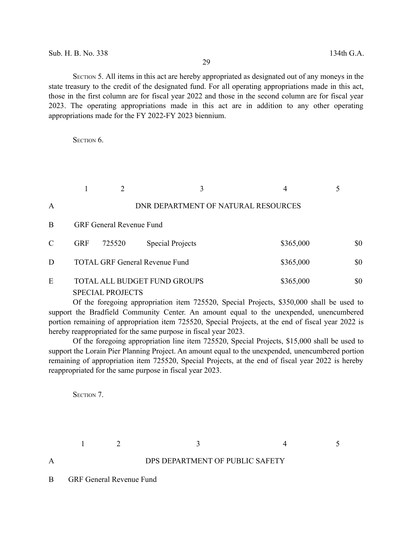SECTION 5. All items in this act are hereby appropriated as designated out of any moneys in the state treasury to the credit of the designated fund. For all operating appropriations made in this act, those in the first column are for fiscal year 2022 and those in the second column are for fiscal year 2023. The operating appropriations made in this act are in addition to any other operating appropriations made for the FY 2022-FY 2023 biennium.

SECTION<sub>6</sub>.

|               |            |                                 | 3                                     |                                     | 4         |     |
|---------------|------------|---------------------------------|---------------------------------------|-------------------------------------|-----------|-----|
| A             |            |                                 |                                       | DNR DEPARTMENT OF NATURAL RESOURCES |           |     |
| B             |            | <b>GRF General Revenue Fund</b> |                                       |                                     |           |     |
| $\mathcal{C}$ | <b>GRF</b> | 725520                          | <b>Special Projects</b>               |                                     | \$365,000 | \$0 |
| D             |            |                                 | <b>TOTAL GRF General Revenue Fund</b> |                                     | \$365,000 | \$0 |
| E             |            | <b>SPECIAL PROJECTS</b>         | <b>TOTAL ALL BUDGET FUND GROUPS</b>   |                                     | \$365,000 | \$0 |

Of the foregoing appropriation item 725520, Special Projects, \$350,000 shall be used to support the Bradfield Community Center. An amount equal to the unexpended, unencumbered portion remaining of appropriation item 725520, Special Projects, at the end of fiscal year 2022 is hereby reappropriated for the same purpose in fiscal year 2023.

Of the foregoing appropriation line item 725520, Special Projects, \$15,000 shall be used to support the Lorain Pier Planning Project. An amount equal to the unexpended, unencumbered portion remaining of appropriation item 725520, Special Projects, at the end of fiscal year 2022 is hereby reappropriated for the same purpose in fiscal year 2023.

SECTION 7.

A DPS DEPARTMENT OF PUBLIC SAFETY

 $1 \t 2 \t 3 \t 4 \t 5$ 

B GRF General Revenue Fund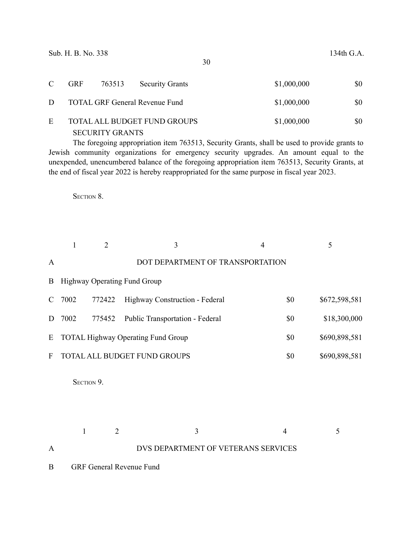|    | <b>GRF</b> | 763513                 | <b>Security Grants</b>                | \$1,000,000 | \$0 |
|----|------------|------------------------|---------------------------------------|-------------|-----|
| D. |            |                        | <b>TOTAL GRF General Revenue Fund</b> | \$1,000,000 | \$0 |
| F. |            |                        | TOTAL ALL BUDGET FUND GROUPS          | \$1,000,000 | \$0 |
|    |            | <b>SECURITY GRANTS</b> |                                       |             |     |

The foregoing appropriation item 763513, Security Grants, shall be used to provide grants to Jewish community organizations for emergency security upgrades. An amount equal to the unexpended, unencumbered balance of the foregoing appropriation item 763513, Security Grants, at the end of fiscal year 2022 is hereby reappropriated for the same purpose in fiscal year 2023.

SECTION 8.

|              | $\mathbf{1}$                                                             | $\overline{2}$ | 3                                | $\overline{4}$                      | 5            |  |  |  |
|--------------|--------------------------------------------------------------------------|----------------|----------------------------------|-------------------------------------|--------------|--|--|--|
| $\mathbf{A}$ |                                                                          |                | DOT DEPARTMENT OF TRANSPORTATION |                                     |              |  |  |  |
| B            | Highway Operating Fund Group                                             |                |                                  |                                     |              |  |  |  |
| C            | \$0<br>\$672,598,581<br>7002<br>772422<br>Highway Construction - Federal |                |                                  |                                     |              |  |  |  |
| D            | 7002                                                                     | 775452         | Public Transportation - Federal  | \$0                                 | \$18,300,000 |  |  |  |
| E            | \$0<br>\$690,898,581<br><b>TOTAL Highway Operating Fund Group</b>        |                |                                  |                                     |              |  |  |  |
| F            | TOTAL ALL BUDGET FUND GROUPS<br>\$690,898,581<br>\$0                     |                |                                  |                                     |              |  |  |  |
|              |                                                                          | SECTION 9.     |                                  |                                     |              |  |  |  |
|              | $\mathbf{1}$                                                             | $\overline{2}$ | 3                                | $\overline{4}$                      | 5            |  |  |  |
| A            |                                                                          |                |                                  | DVS DEPARTMENT OF VETERANS SERVICES |              |  |  |  |
| B            | <b>GRF General Revenue Fund</b>                                          |                |                                  |                                     |              |  |  |  |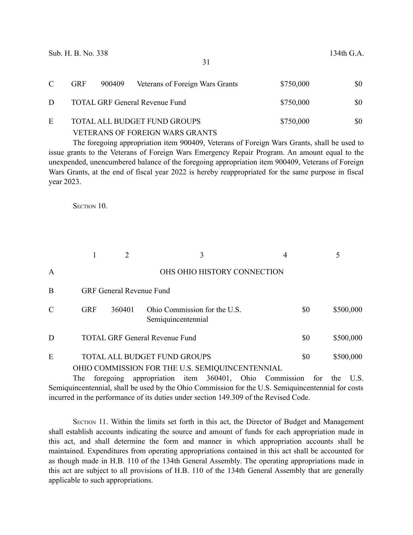| C | <b>GRF</b> | 900409 | Veterans of Foreign Wars Grants       | \$750,000 | \$0 |
|---|------------|--------|---------------------------------------|-----------|-----|
| D |            |        | <b>TOTAL GRF General Revenue Fund</b> | \$750,000 | \$0 |
| E |            |        | TOTAL ALL BUDGET FUND GROUPS          | \$750,000 | \$0 |
|   |            |        | VETERANS OF FOREIGN WARS GRANTS       |           |     |

The foregoing appropriation item 900409, Veterans of Foreign Wars Grants, shall be used to issue grants to the Veterans of Foreign Wars Emergency Repair Program. An amount equal to the unexpended, unencumbered balance of the foregoing appropriation item 900409, Veterans of Foreign Wars Grants, at the end of fiscal year 2022 is hereby reappropriated for the same purpose in fiscal year 2023.

SECTION 10

|               |                                 |        | 3                                                                                      | 4   |           |
|---------------|---------------------------------|--------|----------------------------------------------------------------------------------------|-----|-----------|
| $\mathbf{A}$  |                                 |        | OHS OHIO HISTORY CONNECTION                                                            |     |           |
| B             | <b>GRF General Revenue Fund</b> |        |                                                                                        |     |           |
| $\mathcal{C}$ | <b>GRF</b>                      | 360401 | Ohio Commission for the U.S.<br>Semiquincentennial                                     | \$0 | \$500,000 |
| D             |                                 |        | <b>TOTAL GRF General Revenue Fund</b>                                                  | \$0 | \$500,000 |
| E             |                                 |        | <b>TOTAL ALL BUDGET FUND GROUPS</b><br>OHIO COMMISSION FOR THE U.S. SEMIQUINCENTENNIAL | \$0 | \$500,000 |

The foregoing appropriation item 360401, Ohio Commission for the U.S. Semiquincentennial, shall be used by the Ohio Commission for the U.S. Semiquincentennial for costs incurred in the performance of its duties under section 149.309 of the Revised Code.

SECTION 11. Within the limits set forth in this act, the Director of Budget and Management shall establish accounts indicating the source and amount of funds for each appropriation made in this act, and shall determine the form and manner in which appropriation accounts shall be maintained. Expenditures from operating appropriations contained in this act shall be accounted for as though made in H.B. 110 of the 134th General Assembly. The operating appropriations made in this act are subject to all provisions of H.B. 110 of the 134th General Assembly that are generally applicable to such appropriations.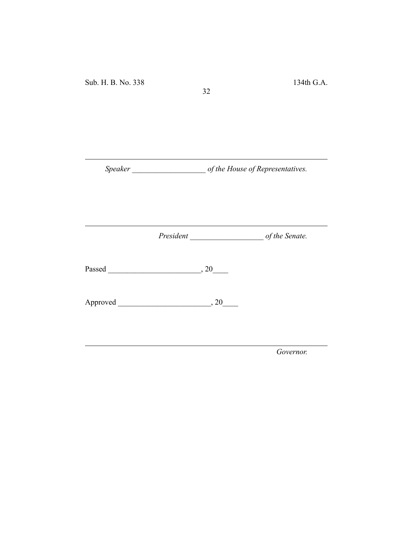*Speaker \_\_\_\_\_\_\_\_\_\_\_\_\_\_\_\_\_\_\_ of the House of Representatives.*

32

*President \_\_\_\_\_\_\_\_\_\_\_\_\_\_\_\_\_\_\_ of the Senate.*

Passed \_\_\_\_\_\_\_\_\_\_\_\_\_\_\_\_\_\_\_\_\_\_\_\_, 20\_\_\_\_

Approved \_\_\_\_\_\_\_\_\_\_\_\_\_\_\_\_\_\_\_\_\_\_\_\_, 20\_\_\_\_

*Governor.*